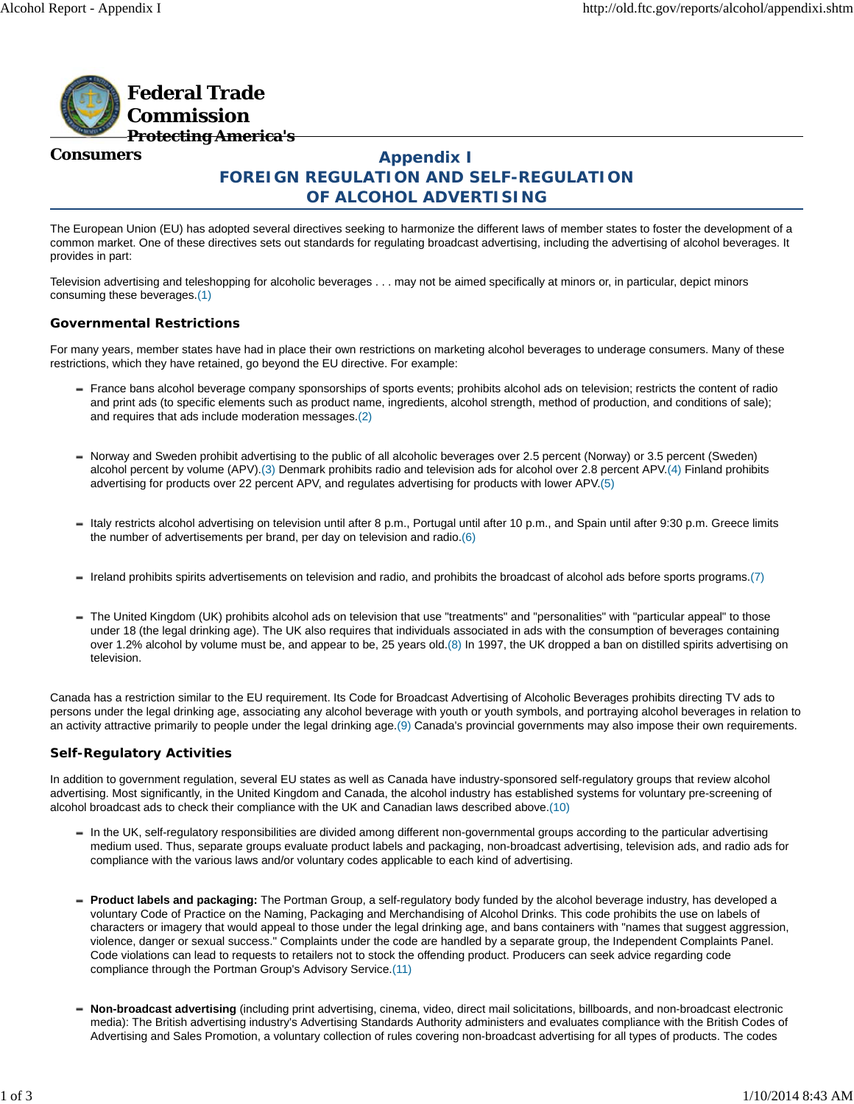

## **Consumers**

# **Appendix I FOREIGN REGULATION AND SELF-REGULATION OF ALCOHOL ADVERTISING**

The European Union (EU) has adopted several directives seeking to harmonize the different laws of member states to foster the development of a common market. One of these directives sets out standards for regulating broadcast advertising, including the advertising of alcohol beverages. It provides in part:

Television advertising and teleshopping for alcoholic beverages . . . may not be aimed specifically at minors or, in particular, depict minors consuming these beverages.(1)

### **Governmental Restrictions**

For many years, member states have had in place their own restrictions on marketing alcohol beverages to underage consumers. Many of these restrictions, which they have retained, go beyond the EU directive. For example:

- France bans alcohol beverage company sponsorships of sports events; prohibits alcohol ads on television; restricts the content of radio and print ads (to specific elements such as product name, ingredients, alcohol strength, method of production, and conditions of sale); and requires that ads include moderation messages.(2)
- Norway and Sweden prohibit advertising to the public of all alcoholic beverages over 2.5 percent (Norway) or 3.5 percent (Sweden) alcohol percent by volume (APV).(3) Denmark prohibits radio and television ads for alcohol over 2.8 percent APV.(4) Finland prohibits advertising for products over 22 percent APV, and regulates advertising for products with lower APV.(5)
- Italy restricts alcohol advertising on television until after 8 p.m., Portugal until after 10 p.m., and Spain until after 9:30 p.m. Greece limits the number of advertisements per brand, per day on television and radio.(6)
- Ireland prohibits spirits advertisements on television and radio, and prohibits the broadcast of alcohol ads before sports programs.(7)
- The United Kingdom (UK) prohibits alcohol ads on television that use "treatments" and "personalities" with "particular appeal" to those under 18 (the legal drinking age). The UK also requires that individuals associated in ads with the consumption of beverages containing over 1.2% alcohol by volume must be, and appear to be, 25 years old.(8) In 1997, the UK dropped a ban on distilled spirits advertising on television.

Canada has a restriction similar to the EU requirement. Its Code for Broadcast Advertising of Alcoholic Beverages prohibits directing TV ads to persons under the legal drinking age, associating any alcohol beverage with youth or youth symbols, and portraying alcohol beverages in relation to an activity attractive primarily to people under the legal drinking age.(9) Canada's provincial governments may also impose their own requirements.

#### **Self-Regulatory Activities**

In addition to government regulation, several EU states as well as Canada have industry-sponsored self-regulatory groups that review alcohol advertising. Most significantly, in the United Kingdom and Canada, the alcohol industry has established systems for voluntary pre-screening of alcohol broadcast ads to check their compliance with the UK and Canadian laws described above.(10)

- In the UK, self-regulatory responsibilities are divided among different non-governmental groups according to the particular advertising medium used. Thus, separate groups evaluate product labels and packaging, non-broadcast advertising, television ads, and radio ads for compliance with the various laws and/or voluntary codes applicable to each kind of advertising.
- **Product labels and packaging:** The Portman Group, a self-regulatory body funded by the alcohol beverage industry, has developed a voluntary Code of Practice on the Naming, Packaging and Merchandising of Alcohol Drinks. This code prohibits the use on labels of characters or imagery that would appeal to those under the legal drinking age, and bans containers with "names that suggest aggression, violence, danger or sexual success." Complaints under the code are handled by a separate group, the Independent Complaints Panel. Code violations can lead to requests to retailers not to stock the offending product. Producers can seek advice regarding code compliance through the Portman Group's Advisory Service.(11)
- **Non-broadcast advertising** (including print advertising, cinema, video, direct mail solicitations, billboards, and non-broadcast electronic media): The British advertising industry's Advertising Standards Authority administers and evaluates compliance with the British Codes of Advertising and Sales Promotion, a voluntary collection of rules covering non-broadcast advertising for all types of products. The codes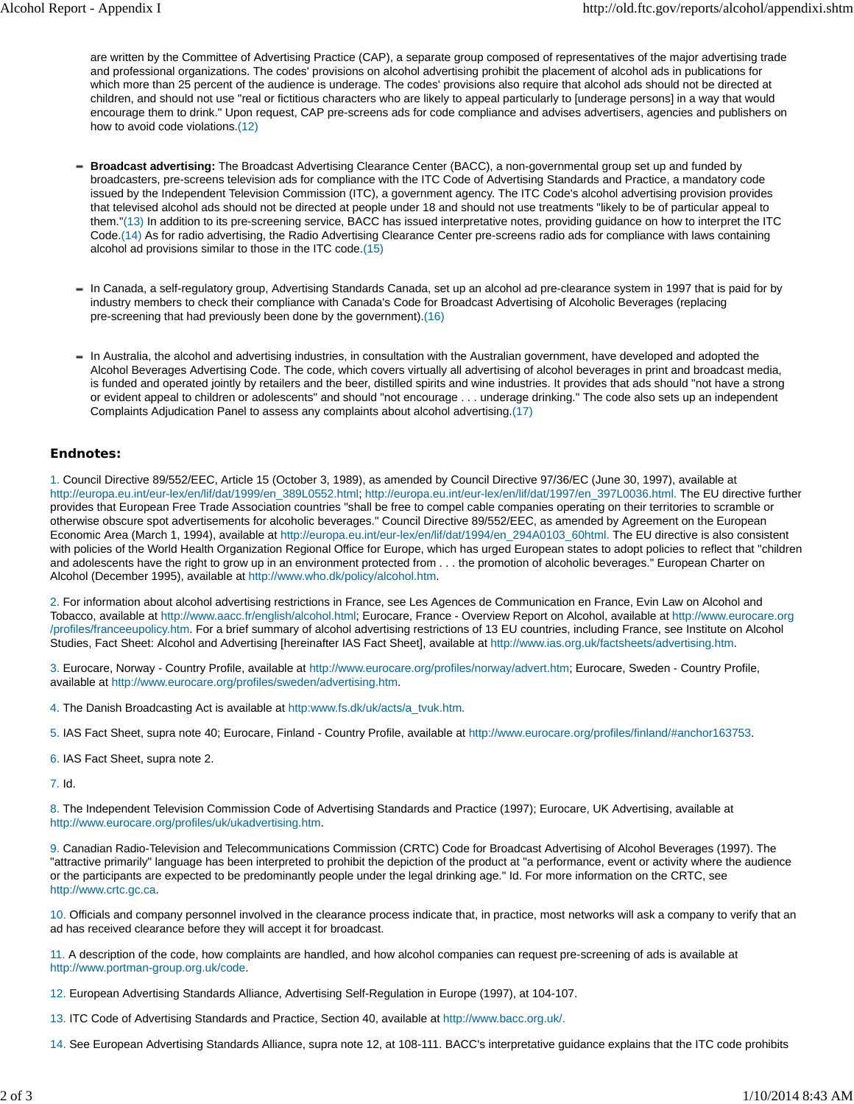are written by the Committee of Advertising Practice (CAP), a separate group composed of representatives of the major advertising trade and professional organizations. The codes' provisions on alcohol advertising prohibit the placement of alcohol ads in publications for which more than 25 percent of the audience is underage. The codes' provisions also require that alcohol ads should not be directed at children, and should not use "real or fictitious characters who are likely to appeal particularly to [underage persons] in a way that would encourage them to drink." Upon request, CAP pre-screens ads for code compliance and advises advertisers, agencies and publishers on how to avoid code violations.(12)

- **Broadcast advertising:** The Broadcast Advertising Clearance Center (BACC), a non-governmental group set up and funded by broadcasters, pre-screens television ads for compliance with the ITC Code of Advertising Standards and Practice, a mandatory code issued by the Independent Television Commission (ITC), a government agency. The ITC Code's alcohol advertising provision provides that televised alcohol ads should not be directed at people under 18 and should not use treatments "likely to be of particular appeal to them."(13) In addition to its pre-screening service, BACC has issued interpretative notes, providing guidance on how to interpret the ITC Code.(14) As for radio advertising, the Radio Advertising Clearance Center pre-screens radio ads for compliance with laws containing alcohol ad provisions similar to those in the ITC code.(15)
- In Canada, a self-regulatory group, Advertising Standards Canada, set up an alcohol ad pre-clearance system in 1997 that is paid for by industry members to check their compliance with Canada's Code for Broadcast Advertising of Alcoholic Beverages (replacing pre-screening that had previously been done by the government).(16)
- In Australia, the alcohol and advertising industries, in consultation with the Australian government, have developed and adopted the Alcohol Beverages Advertising Code. The code, which covers virtually all advertising of alcohol beverages in print and broadcast media, is funded and operated jointly by retailers and the beer, distilled spirits and wine industries. It provides that ads should "not have a strong or evident appeal to children or adolescents" and should "not encourage . . . underage drinking." The code also sets up an independent Complaints Adjudication Panel to assess any complaints about alcohol advertising.(17)

### **Endnotes:**

1. Council Directive 89/552/EEC, Article 15 (October 3, 1989), as amended by Council Directive 97/36/EC (June 30, 1997), available at http://europa.eu.int/eur-lex/en/lif/dat/1999/en\_389L0552.html; http://europa.eu.int/eur-lex/en/lif/dat/1997/en\_397L0036.html. The EU directive further provides that European Free Trade Association countries "shall be free to compel cable companies operating on their territories to scramble or otherwise obscure spot advertisements for alcoholic beverages." Council Directive 89/552/EEC, as amended by Agreement on the European Economic Area (March 1, 1994), available at http://europa.eu.int/eur-lex/en/lif/dat/1994/en\_294A0103\_60html. The EU directive is also consistent with policies of the World Health Organization Regional Office for Europe, which has urged European states to adopt policies to reflect that "children and adolescents have the right to grow up in an environment protected from . . . the promotion of alcoholic beverages." European Charter on Alcohol (December 1995), available at http://www.who.dk/policy/alcohol.htm.

2. For information about alcohol advertising restrictions in France, see Les Agences de Communication en France, Evin Law on Alcohol and Tobacco, available at http://www.aacc.fr/english/alcohol.html; Eurocare, France - Overview Report on Alcohol, available at http://www.eurocare.org /profiles/franceeupolicy.htm. For a brief summary of alcohol advertising restrictions of 13 EU countries, including France, see Institute on Alcohol Studies, Fact Sheet: Alcohol and Advertising [hereinafter IAS Fact Sheet], available at http://www.ias.org.uk/factsheets/advertising.htm.

3. Eurocare, Norway - Country Profile, available at http://www.eurocare.org/profiles/norway/advert.htm; Eurocare, Sweden - Country Profile, available at http://www.eurocare.org/profiles/sweden/advertising.htm.

- 4. The Danish Broadcasting Act is available at http:www.fs.dk/uk/acts/a\_tvuk.htm.
- 5. IAS Fact Sheet, supra note 40; Eurocare, Finland Country Profile, available at http://www.eurocare.org/profiles/finland/#anchor163753.
- 6. IAS Fact Sheet, supra note 2.

7. Id.

8. The Independent Television Commission Code of Advertising Standards and Practice (1997); Eurocare, UK Advertising, available at http://www.eurocare.org/profiles/uk/ukadvertising.htm.

9. Canadian Radio-Television and Telecommunications Commission (CRTC) Code for Broadcast Advertising of Alcohol Beverages (1997). The "attractive primarily" language has been interpreted to prohibit the depiction of the product at "a performance, event or activity where the audience or the participants are expected to be predominantly people under the legal drinking age." Id. For more information on the CRTC, see http://www.crtc.gc.ca.

10. Officials and company personnel involved in the clearance process indicate that, in practice, most networks will ask a company to verify that an ad has received clearance before they will accept it for broadcast.

11. A description of the code, how complaints are handled, and how alcohol companies can request pre-screening of ads is available at http://www.portman-group.org.uk/code.

12. European Advertising Standards Alliance, Advertising Self-Regulation in Europe (1997), at 104-107.

13. ITC Code of Advertising Standards and Practice, Section 40, available at http://www.bacc.org.uk/.

14. See European Advertising Standards Alliance, supra note 12, at 108-111. BACC's interpretative guidance explains that the ITC code prohibits